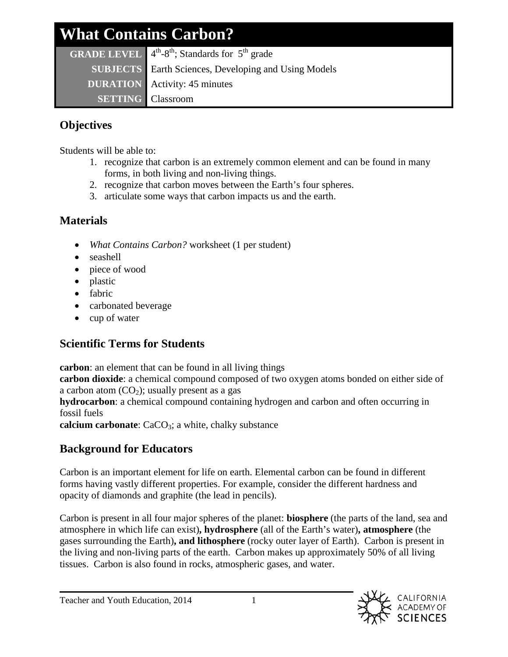| <b>What Contains Carbon?</b> |                                                                                        |  |  |  |
|------------------------------|----------------------------------------------------------------------------------------|--|--|--|
|                              | <b>GRADE LEVEL</b> $4^{\text{th}}-8^{\text{th}}$ ; Standards for $5^{\text{th}}$ grade |  |  |  |
|                              | <b>SUBJECTS</b> Earth Sciences, Developing and Using Models                            |  |  |  |
|                              | <b>DURATION</b> Activity: 45 minutes                                                   |  |  |  |
| <b>SETTING</b> Classroom     |                                                                                        |  |  |  |

## **Objectives**

Students will be able to:

- 1. recognize that carbon is an extremely common element and can be found in many forms, in both living and non-living things.
- 2. recognize that carbon moves between the Earth's four spheres.
- 3. articulate some ways that carbon impacts us and the earth.

## **Materials**

- *What Contains Carbon?* worksheet (1 per student)
- seashell
- piece of wood
- plastic
- fabric
- carbonated beverage
- cup of water

# **Scientific Terms for Students**

**carbon**: an element that can be found in all living things

**carbon dioxide**: a chemical compound composed of two oxygen atoms bonded on either side of a carbon atom  $(CO_2)$ ; usually present as a gas

**hydrocarbon**: a chemical compound containing hydrogen and carbon and often occurring in fossil fuels

**calcium carbonate**: CaCO<sub>3</sub>; a white, chalky substance

# **Background for Educators**

Carbon is an important element for life on earth. Elemental carbon can be found in different forms having vastly different properties. For example, consider the different hardness and opacity of diamonds and graphite (the lead in pencils).

Carbon is present in all four major spheres of the planet: **biosphere** (the parts of the land, sea and atmosphere in which life can exist)**, hydrosphere** (all of the Earth's water)**, atmosphere** (the gases surrounding the Earth)**, and lithosphere** (rocky outer layer of Earth). Carbon is present in the living and non-living parts of the earth. Carbon makes up approximately 50% of all living tissues. Carbon is also found in rocks, atmospheric gases, and water.

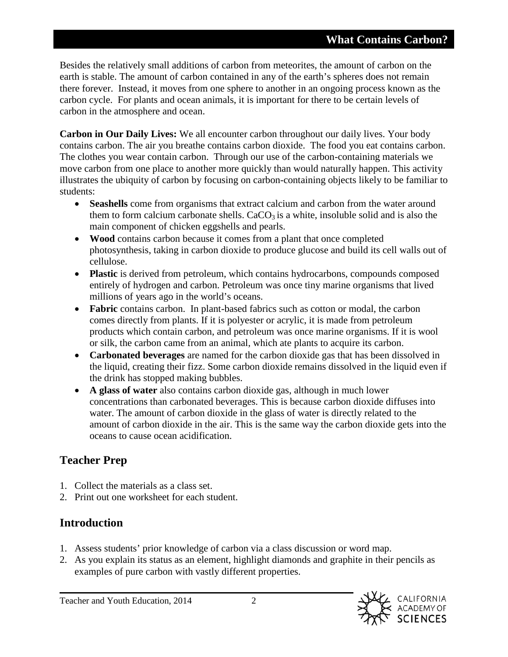Besides the relatively small additions of carbon from meteorites, the amount of carbon on the earth is stable. The amount of carbon contained in any of the earth's spheres does not remain there forever. Instead, it moves from one sphere to another in an ongoing process known as the carbon cycle. For plants and ocean animals, it is important for there to be certain levels of carbon in the atmosphere and ocean.

**Carbon in Our Daily Lives:** We all encounter carbon throughout our daily lives. Your body contains carbon. The air you breathe contains carbon dioxide. The food you eat contains carbon. The clothes you wear contain carbon. Through our use of the carbon-containing materials we move carbon from one place to another more quickly than would naturally happen. This activity illustrates the ubiquity of carbon by focusing on carbon-containing objects likely to be familiar to students:

- **Seashells** come from organisms that extract calcium and carbon from the water around them to form calcium carbonate shells.  $CaCO<sub>3</sub>$  is a white, insoluble solid and is also the main component of chicken eggshells and pearls.
- **Wood** contains carbon because it comes from a plant that once completed photosynthesis, taking in carbon dioxide to produce glucose and build its cell walls out of cellulose.
- **Plastic** is derived from petroleum, which contains hydrocarbons, compounds composed entirely of hydrogen and carbon. Petroleum was once tiny marine organisms that lived millions of years ago in the world's oceans.
- **Fabric** contains carbon. In plant-based fabrics such as cotton or modal, the carbon comes directly from plants. If it is polyester or acrylic, it is made from petroleum products which contain carbon, and petroleum was once marine organisms. If it is wool or silk, the carbon came from an animal, which ate plants to acquire its carbon.
- **Carbonated beverages** are named for the carbon dioxide gas that has been dissolved in the liquid, creating their fizz. Some carbon dioxide remains dissolved in the liquid even if the drink has stopped making bubbles.
- **A glass of water** also contains carbon dioxide gas, although in much lower concentrations than carbonated beverages. This is because carbon dioxide diffuses into water. The amount of carbon dioxide in the glass of water is directly related to the amount of carbon dioxide in the air. This is the same way the carbon dioxide gets into the oceans to cause ocean acidification.

## **Teacher Prep**

- 1. Collect the materials as a class set.
- 2. Print out one worksheet for each student.

### **Introduction**

- 1. Assess students' prior knowledge of carbon via a class discussion or word map.
- 2. As you explain its status as an element, highlight diamonds and graphite in their pencils as examples of pure carbon with vastly different properties.

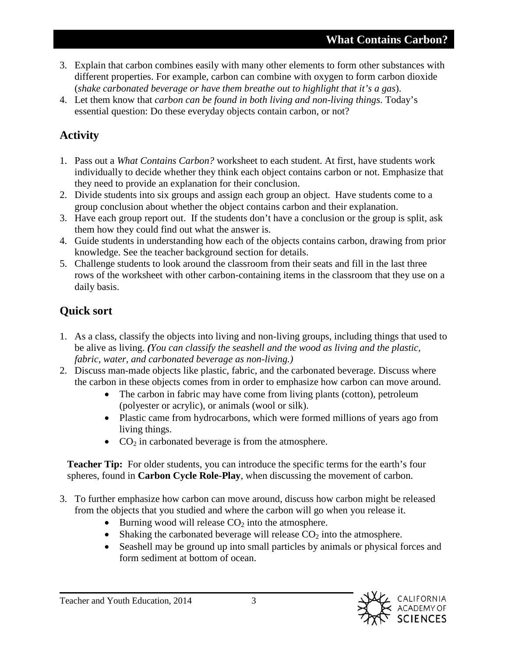- 3. Explain that carbon combines easily with many other elements to form other substances with different properties. For example, carbon can combine with oxygen to form carbon dioxide (*shake carbonated beverage or have them breathe out to highlight that it's a gas*).
- 4. Let them know that *carbon can be found in both living and non-living things*. Today's essential question: Do these everyday objects contain carbon, or not?

## **Activity**

- 1. Pass out a *What Contains Carbon?* worksheet to each student. At first, have students work individually to decide whether they think each object contains carbon or not. Emphasize that they need to provide an explanation for their conclusion.
- 2. Divide students into six groups and assign each group an object. Have students come to a group conclusion about whether the object contains carbon and their explanation.
- 3. Have each group report out. If the students don't have a conclusion or the group is split, ask them how they could find out what the answer is.
- 4. Guide students in understanding how each of the objects contains carbon, drawing from prior knowledge. See the teacher background section for details.
- 5. Challenge students to look around the classroom from their seats and fill in the last three rows of the worksheet with other carbon-containing items in the classroom that they use on a daily basis.

## **Quick sort**

- 1. As a class, classify the objects into living and non-living groups, including things that used to be alive as living. *(You can classify the seashell and the wood as living and the plastic, fabric, water, and carbonated beverage as non-living.)*
- 2. Discuss man-made objects like plastic, fabric, and the carbonated beverage. Discuss where the carbon in these objects comes from in order to emphasize how carbon can move around.
	- The carbon in fabric may have come from living plants (cotton), petroleum (polyester or acrylic), or animals (wool or silk).
	- Plastic came from hydrocarbons, which were formed millions of years ago from living things.
	- $CO<sub>2</sub>$  in carbonated beverage is from the atmosphere.

**Teacher Tip:** For older students, you can introduce the specific terms for the earth's four spheres, found in **Carbon Cycle Role-Play**, when discussing the movement of carbon.

- 3. To further emphasize how carbon can move around, discuss how carbon might be released from the objects that you studied and where the carbon will go when you release it.
	- Burning wood will release  $CO<sub>2</sub>$  into the atmosphere.
	- Shaking the carbonated beverage will release  $CO<sub>2</sub>$  into the atmosphere.
	- Seashell may be ground up into small particles by animals or physical forces and form sediment at bottom of ocean.



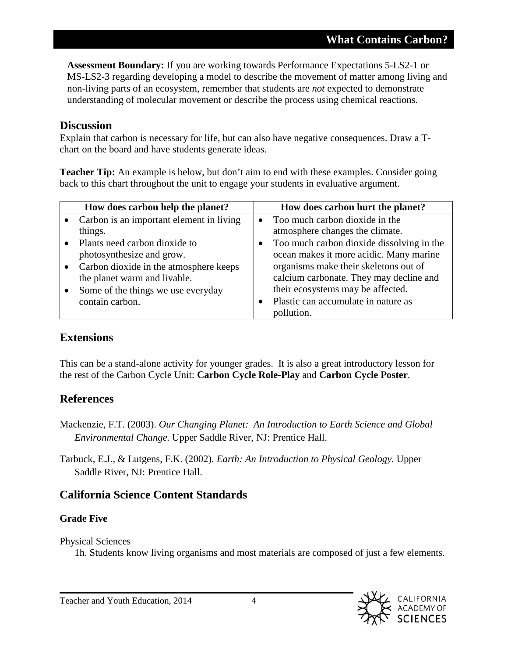**Assessment Boundary:** If you are working towards Performance Expectations 5-LS2-1 or MS-LS2-3 regarding developing a model to describe the movement of matter among living and non-living parts of an ecosystem, remember that students are *not* expected to demonstrate understanding of molecular movement or describe the process using chemical reactions.

#### **Discussion**

Explain that carbon is necessary for life, but can also have negative consequences. Draw a Tchart on the board and have students generate ideas.

**Teacher Tip:** An example is below, but don't aim to end with these examples. Consider going back to this chart throughout the unit to engage your students in evaluative argument.

| How does carbon help the planet?         |           | How does carbon hurt the planet?          |
|------------------------------------------|-----------|-------------------------------------------|
| Carbon is an important element in living | $\bullet$ | Too much carbon dioxide in the            |
| things.                                  |           | atmosphere changes the climate.           |
| Plants need carbon dioxide to            | $\bullet$ | Too much carbon dioxide dissolving in the |
| photosynthesize and grow.                |           | ocean makes it more acidic. Many marine   |
| Carbon dioxide in the atmosphere keeps   |           | organisms make their skeletons out of     |
| the planet warm and livable.             |           | calcium carbonate. They may decline and   |
| Some of the things we use everyday       |           | their ecosystems may be affected.         |
| contain carbon.                          |           | Plastic can accumulate in nature as       |
|                                          |           | pollution.                                |

#### **Extensions**

This can be a stand-alone activity for younger grades. It is also a great introductory lesson for the rest of the Carbon Cycle Unit: **Carbon Cycle Role-Play** and **Carbon Cycle Poster**.

### **References**

Mackenzie, F.T. (2003). *Our Changing Planet: An Introduction to Earth Science and Global Environmental Change.* Upper Saddle River, NJ: Prentice Hall.

Tarbuck, E.J., & Lutgens, F.K. (2002). *Earth: An Introduction to Physical Geology.* Upper Saddle River, NJ: Prentice Hall.

### **California Science Content Standards**

### **Grade Five**

Physical Sciences

1h. Students know living organisms and most materials are composed of just a few elements.

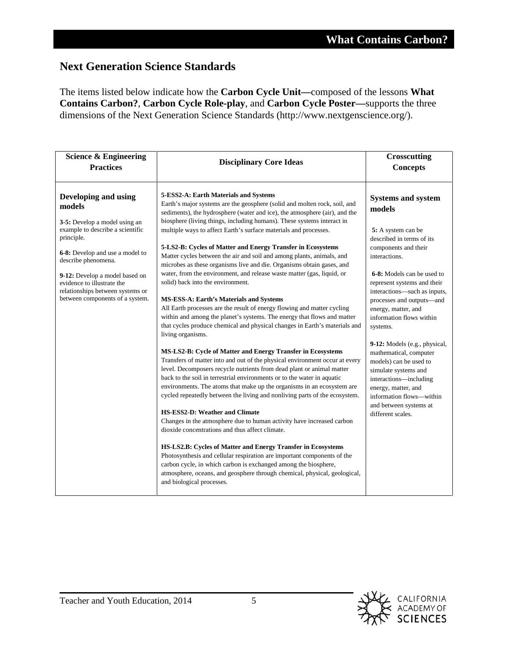### **Next Generation Science Standards**

The items listed below indicate how the **Carbon Cycle Unit—**composed of the lessons **What Contains Carbon?**, **Carbon Cycle Role-play**, and **Carbon Cycle Poster—**supports the three dimensions of the Next Generation Science Standards (http://www.nextgenscience.org/).

| <b>Science &amp; Engineering</b><br><b>Practices</b>                                                                                                                                                        | <b>Disciplinary Core Ideas</b>                                                                                                                                                                                                                                                                                                                                                                                                                                                                                                                                                                                                                                                                                                                                                                                                                                                                                                                                                                                                                                                                                                                                                                                                                                                                                                                                                                                                                                                                                                                                                   | <b>Crosscutting</b><br><b>Concepts</b>                                                                                                                                                                                                                                                                                                                                                                                                                                                               |
|-------------------------------------------------------------------------------------------------------------------------------------------------------------------------------------------------------------|----------------------------------------------------------------------------------------------------------------------------------------------------------------------------------------------------------------------------------------------------------------------------------------------------------------------------------------------------------------------------------------------------------------------------------------------------------------------------------------------------------------------------------------------------------------------------------------------------------------------------------------------------------------------------------------------------------------------------------------------------------------------------------------------------------------------------------------------------------------------------------------------------------------------------------------------------------------------------------------------------------------------------------------------------------------------------------------------------------------------------------------------------------------------------------------------------------------------------------------------------------------------------------------------------------------------------------------------------------------------------------------------------------------------------------------------------------------------------------------------------------------------------------------------------------------------------------|------------------------------------------------------------------------------------------------------------------------------------------------------------------------------------------------------------------------------------------------------------------------------------------------------------------------------------------------------------------------------------------------------------------------------------------------------------------------------------------------------|
| Developing and using<br>models<br>3-5: Develop a model using an<br>example to describe a scientific                                                                                                         | 5-ESS2-A: Earth Materials and Systems<br>Earth's major systems are the geosphere (solid and molten rock, soil, and<br>sediments), the hydrosphere (water and ice), the atmosphere (air), and the<br>biosphere (living things, including humans). These systems interact in<br>multiple ways to affect Earth's surface materials and processes.                                                                                                                                                                                                                                                                                                                                                                                                                                                                                                                                                                                                                                                                                                                                                                                                                                                                                                                                                                                                                                                                                                                                                                                                                                   | <b>Systems and system</b><br>models<br>5: A system can be                                                                                                                                                                                                                                                                                                                                                                                                                                            |
| principle.<br>6-8: Develop and use a model to<br>describe phenomena.<br>9-12: Develop a model based on<br>evidence to illustrate the<br>relationships between systems or<br>between components of a system. | 5-LS2-B: Cycles of Matter and Energy Transfer in Ecosystems<br>Matter cycles between the air and soil and among plants, animals, and<br>microbes as these organisms live and die. Organisms obtain gases, and<br>water, from the environment, and release waste matter (gas, liquid, or<br>solid) back into the environment.<br>MS-ESS-A: Earth's Materials and Systems<br>All Earth processes are the result of energy flowing and matter cycling<br>within and among the planet's systems. The energy that flows and matter<br>that cycles produce chemical and physical changes in Earth's materials and<br>living organisms.<br>MS-LS2-B: Cycle of Matter and Energy Transfer in Ecosystems<br>Transfers of matter into and out of the physical environment occur at every<br>level. Decomposers recycle nutrients from dead plant or animal matter<br>back to the soil in terrestrial environments or to the water in aquatic<br>environments. The atoms that make up the organisms in an ecosystem are<br>cycled repeatedly between the living and nonliving parts of the ecosystem.<br>HS-ESS2-D: Weather and Climate<br>Changes in the atmosphere due to human activity have increased carbon<br>dioxide concentrations and thus affect climate.<br>HS-LS2.B: Cycles of Matter and Energy Transfer in Ecosystems<br>Photosynthesis and cellular respiration are important components of the<br>carbon cycle, in which carbon is exchanged among the biosphere,<br>atmosphere, oceans, and geosphere through chemical, physical, geological,<br>and biological processes. | described in terms of its<br>components and their<br>interactions.<br>6-8: Models can be used to<br>represent systems and their<br>interactions-such as inputs,<br>processes and outputs-and<br>energy, matter, and<br>information flows within<br>systems.<br>9-12: Models (e.g., physical,<br>mathematical, computer<br>models) can be used to<br>simulate systems and<br>interactions-including<br>energy, matter, and<br>information flows—within<br>and between systems at<br>different scales. |